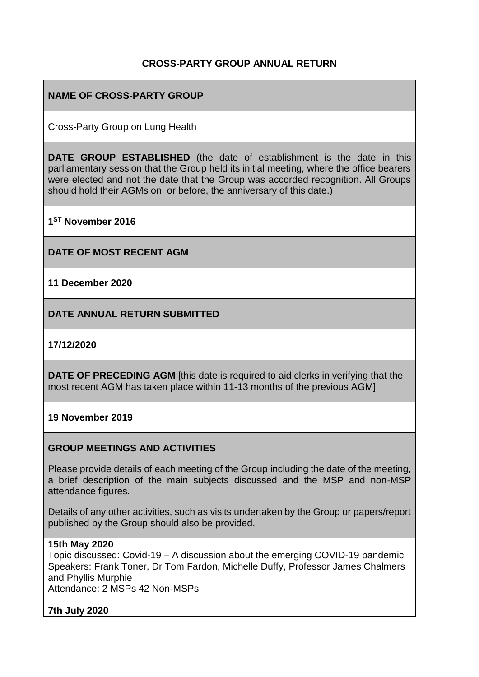## **CROSS-PARTY GROUP ANNUAL RETURN**

## **NAME OF CROSS-PARTY GROUP**

Cross-Party Group on Lung Health

**DATE GROUP ESTABLISHED** (the date of establishment is the date in this parliamentary session that the Group held its initial meeting, where the office bearers were elected and not the date that the Group was accorded recognition. All Groups should hold their AGMs on, or before, the anniversary of this date.)

**1 ST November 2016**

**DATE OF MOST RECENT AGM**

**11 December 2020**

**DATE ANNUAL RETURN SUBMITTED**

**17/12/2020**

**DATE OF PRECEDING AGM** [this date is required to aid clerks in verifying that the most recent AGM has taken place within 11-13 months of the previous AGM]

**19 November 2019**

#### **GROUP MEETINGS AND ACTIVITIES**

Please provide details of each meeting of the Group including the date of the meeting, a brief description of the main subjects discussed and the MSP and non-MSP attendance figures.

Details of any other activities, such as visits undertaken by the Group or papers/report published by the Group should also be provided.

#### **15th May 2020**

Topic discussed: Covid-19 – A discussion about the emerging COVID-19 pandemic Speakers: Frank Toner, Dr Tom Fardon, Michelle Duffy, Professor James Chalmers and Phyllis Murphie Attendance: 2 MSPs 42 Non-MSPs

**7th July 2020**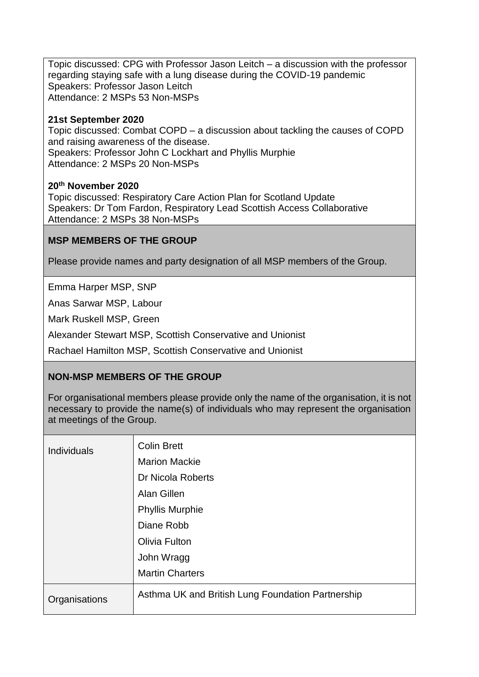Topic discussed: CPG with Professor Jason Leitch – a discussion with the professor regarding staying safe with a lung disease during the COVID-19 pandemic Speakers: Professor Jason Leitch Attendance: 2 MSPs 53 Non-MSPs

#### **21st September 2020**

Topic discussed: Combat COPD – a discussion about tackling the causes of COPD and raising awareness of the disease. Speakers: Professor John C Lockhart and Phyllis Murphie Attendance: 2 MSPs 20 Non-MSPs

#### **20th November 2020**

Topic discussed: Respiratory Care Action Plan for Scotland Update Speakers: Dr Tom Fardon, Respiratory Lead Scottish Access Collaborative Attendance: 2 MSPs 38 Non-MSPs

## **MSP MEMBERS OF THE GROUP**

Please provide names and party designation of all MSP members of the Group.

Emma Harper MSP, SNP

Anas Sarwar MSP, Labour

Mark Ruskell MSP, Green

Alexander Stewart MSP, Scottish Conservative and Unionist

Rachael Hamilton MSP, Scottish Conservative and Unionist

## **NON-MSP MEMBERS OF THE GROUP**

For organisational members please provide only the name of the organisation, it is not necessary to provide the name(s) of individuals who may represent the organisation at meetings of the Group.

| <b>Individuals</b> | <b>Colin Brett</b>                                |
|--------------------|---------------------------------------------------|
|                    | <b>Marion Mackie</b>                              |
|                    | Dr Nicola Roberts                                 |
|                    | Alan Gillen                                       |
|                    | <b>Phyllis Murphie</b>                            |
|                    | Diane Robb                                        |
|                    | Olivia Fulton                                     |
|                    | John Wragg                                        |
|                    | <b>Martin Charters</b>                            |
| Organisations      | Asthma UK and British Lung Foundation Partnership |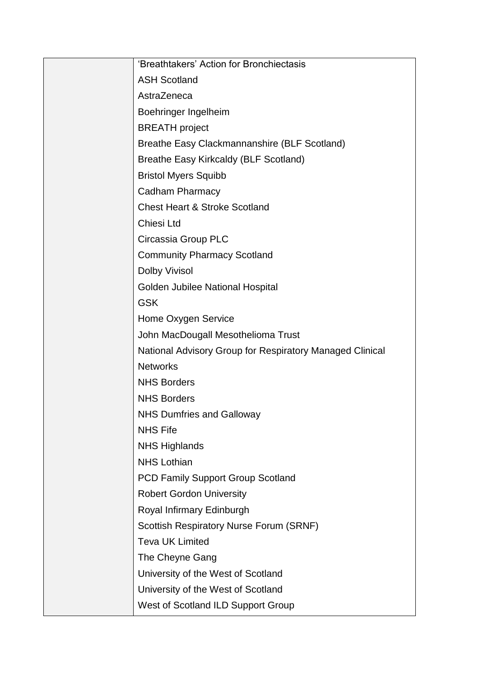| 'Breathtakers' Action for Bronchiectasis                 |
|----------------------------------------------------------|
| <b>ASH Scotland</b>                                      |
| AstraZeneca                                              |
| Boehringer Ingelheim                                     |
| <b>BREATH</b> project                                    |
| Breathe Easy Clackmannanshire (BLF Scotland)             |
| <b>Breathe Easy Kirkcaldy (BLF Scotland)</b>             |
| <b>Bristol Myers Squibb</b>                              |
| Cadham Pharmacy                                          |
| <b>Chest Heart &amp; Stroke Scotland</b>                 |
| Chiesi Ltd                                               |
| Circassia Group PLC                                      |
| <b>Community Pharmacy Scotland</b>                       |
| <b>Dolby Vivisol</b>                                     |
| Golden Jubilee National Hospital                         |
| <b>GSK</b>                                               |
| Home Oxygen Service                                      |
| John MacDougall Mesothelioma Trust                       |
| National Advisory Group for Respiratory Managed Clinical |
| <b>Networks</b>                                          |
| <b>NHS Borders</b>                                       |
| <b>NHS Borders</b>                                       |
| <b>NHS Dumfries and Galloway</b>                         |
| <b>NHS Fife</b>                                          |
| <b>NHS Highlands</b>                                     |
| <b>NHS Lothian</b>                                       |
| PCD Family Support Group Scotland                        |
| <b>Robert Gordon University</b>                          |
| Royal Infirmary Edinburgh                                |
| <b>Scottish Respiratory Nurse Forum (SRNF)</b>           |
| <b>Teva UK Limited</b>                                   |
| The Cheyne Gang                                          |
| University of the West of Scotland                       |
| University of the West of Scotland                       |
| West of Scotland ILD Support Group                       |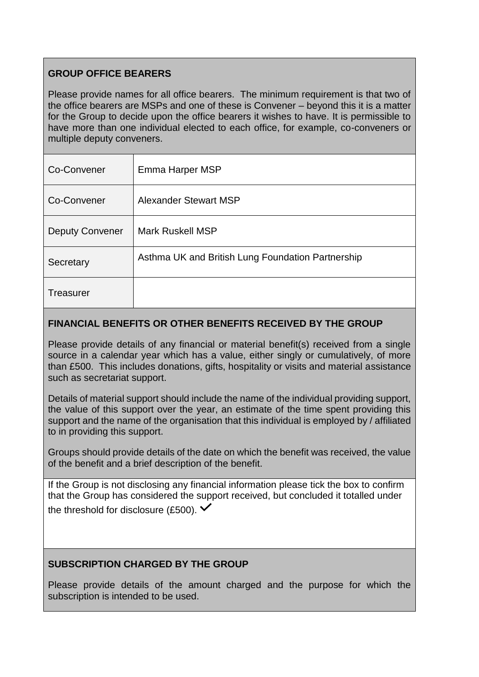# **GROUP OFFICE BEARERS**

Please provide names for all office bearers. The minimum requirement is that two of the office bearers are MSPs and one of these is Convener – beyond this it is a matter for the Group to decide upon the office bearers it wishes to have. It is permissible to have more than one individual elected to each office, for example, co-conveners or multiple deputy conveners.

| Co-Convener            | Emma Harper MSP                                   |
|------------------------|---------------------------------------------------|
| Co-Convener            | <b>Alexander Stewart MSP</b>                      |
| <b>Deputy Convener</b> | <b>Mark Ruskell MSP</b>                           |
| Secretary              | Asthma UK and British Lung Foundation Partnership |
| Treasurer              |                                                   |

## **FINANCIAL BENEFITS OR OTHER BENEFITS RECEIVED BY THE GROUP**

Please provide details of any financial or material benefit(s) received from a single source in a calendar year which has a value, either singly or cumulatively, of more than £500. This includes donations, gifts, hospitality or visits and material assistance such as secretariat support.

Details of material support should include the name of the individual providing support, the value of this support over the year, an estimate of the time spent providing this support and the name of the organisation that this individual is employed by / affiliated to in providing this support.

Groups should provide details of the date on which the benefit was received, the value of the benefit and a brief description of the benefit.

If the Group is not disclosing any financial information please tick the box to confirm that the Group has considered the support received, but concluded it totalled under the threshold for disclosure (£500).  $\checkmark$ 

## **SUBSCRIPTION CHARGED BY THE GROUP**

Please provide details of the amount charged and the purpose for which the subscription is intended to be used.